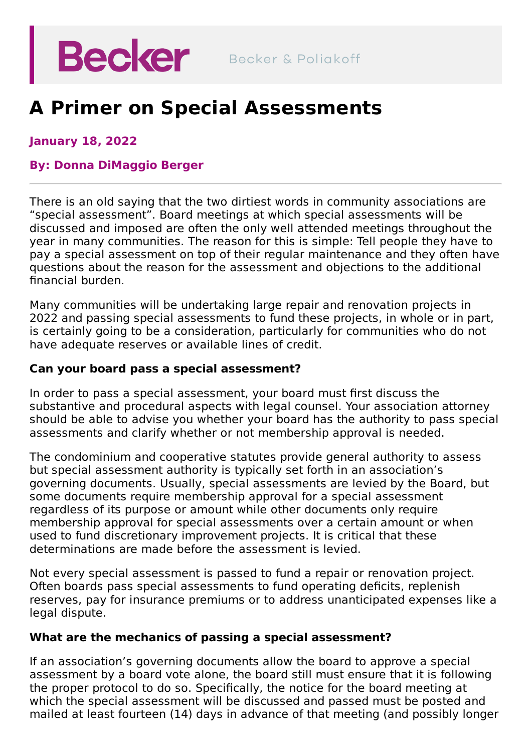

# **A Primer on Special Assessments**

**January 18, 2022**

#### **By: Donna [DiMaggio](https://beckerlawyers.com/professionals/donna-dimaggio-berger/) Berger**

There is an old saying that the two dirtiest words in community associations are "special assessment". Board meetings at which special assessments will be discussed and imposed are often the only well attended meetings throughout the year in many communities. The reason for this is simple: Tell people they have to pay a special assessment on top of their regular maintenance and they often have questions about the reason for the assessment and objections to the additional financial burden.

Many communities will be undertaking large repair and renovation projects in 2022 and passing special assessments to fund these projects, in whole or in part, is certainly going to be a consideration, particularly for communities who do not have adequate reserves or available lines of credit.

#### **Can your board pass a special assessment?**

In order to pass a special assessment, your board must first discuss the substantive and procedural aspects with legal counsel. Your association attorney should be able to advise you whether your board has the authority to pass special assessments and clarify whether or not membership approval is needed.

The condominium and cooperative statutes provide general authority to assess but special assessment authority is typically set forth in an association's governing documents. Usually, special assessments are levied by the Board, but some documents require membership approval for a special assessment regardless of its purpose or amount while other documents only require membership approval for special assessments over a certain amount or when used to fund discretionary improvement projects. It is critical that these determinations are made before the assessment is levied.

Not every special assessment is passed to fund a repair or renovation project. Often boards pass special assessments to fund operating deficits, replenish reserves, pay for insurance premiums or to address unanticipated expenses like a legal dispute.

#### **What are the mechanics of passing a special assessment?**

If an association's governing documents allow the board to approve a special assessment by a board vote alone, the board still must ensure that it is following the proper protocol to do so. Specifically, the notice for the board meeting at which the special assessment will be discussed and passed must be posted and mailed at least fourteen (14) days in advance of that meeting (and possibly longer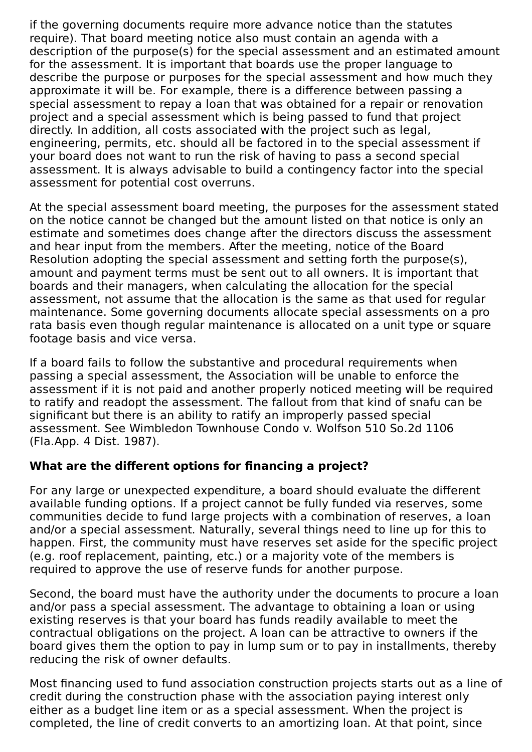if the governing documents require more advance notice than the statutes require). That board meeting notice also must contain an agenda with a description of the purpose(s) for the special assessment and an estimated amount for the assessment. It is important that boards use the proper language to describe the purpose or purposes for the special assessment and how much they approximate it will be. For example, there is a difference between passing a special assessment to repay a loan that was obtained for a repair or renovation project and a special assessment which is being passed to fund that project directly. In addition, all costs associated with the project such as legal, engineering, permits, etc. should all be factored in to the special assessment if your board does not want to run the risk of having to pass a second special assessment. It is always advisable to build a contingency factor into the special assessment for potential cost overruns.

At the special assessment board meeting, the purposes for the assessment stated on the notice cannot be changed but the amount listed on that notice is only an estimate and sometimes does change after the directors discuss the assessment and hear input from the members. After the meeting, notice of the Board Resolution adopting the special assessment and setting forth the purpose(s), amount and payment terms must be sent out to all owners. It is important that boards and their managers, when calculating the allocation for the special assessment, not assume that the allocation is the same as that used for regular maintenance. Some governing documents allocate special assessments on a pro rata basis even though regular maintenance is allocated on a unit type or square footage basis and vice versa.

If a board fails to follow the substantive and procedural requirements when passing a special assessment, the Association will be unable to enforce the assessment if it is not paid and another properly noticed meeting will be required to ratify and readopt the assessment. The fallout from that kind of snafu can be significant but there is an ability to ratify an improperly passed special assessment. See Wimbledon Townhouse Condo v. Wolfson 510 So.2d 1106 (Fla.App. 4 Dist. 1987).

## **What are the different options for financing a project?**

For any large or unexpected expenditure, a board should evaluate the different available funding options. If a project cannot be fully funded via reserves, some communities decide to fund large projects with a combination of reserves, a loan and/or a special assessment. Naturally, several things need to line up for this to happen. First, the community must have reserves set aside for the specific project (e.g. roof replacement, painting, etc.) or a majority vote of the members is required to approve the use of reserve funds for another purpose.

Second, the board must have the authority under the documents to procure a loan and/or pass a special assessment. The advantage to obtaining a loan or using existing reserves is that your board has funds readily available to meet the contractual obligations on the project. A loan can be attractive to owners if the board gives them the option to pay in lump sum or to pay in installments, thereby reducing the risk of owner defaults.

Most financing used to fund association construction projects starts out as a line of credit during the construction phase with the association paying interest only either as a budget line item or as a special assessment. When the project is completed, the line of credit converts to an amortizing loan. At that point, since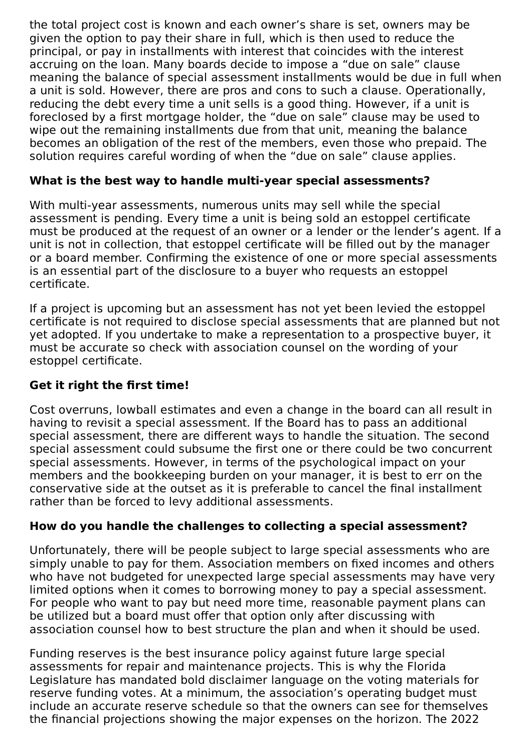the total project cost is known and each owner's share is set, owners may be given the option to pay their share in full, which is then used to reduce the principal, or pay in installments with interest that coincides with the interest accruing on the loan. Many boards decide to impose a "due on sale" clause meaning the balance of special assessment installments would be due in full when a unit is sold. However, there are pros and cons to such a clause. Operationally, reducing the debt every time a unit sells is a good thing. However, if a unit is foreclosed by a first mortgage holder, the "due on sale" clause may be used to wipe out the remaining installments due from that unit, meaning the balance becomes an obligation of the rest of the members, even those who prepaid. The solution requires careful wording of when the "due on sale" clause applies.

## **What is the best way to handle multi-year special assessments?**

With multi-year assessments, numerous units may sell while the special assessment is pending. Every time a unit is being sold an estoppel certificate must be produced at the request of an owner or a lender or the lender's agent. If a unit is not in collection, that estoppel certificate will be filled out by the manager or a board member. Confirming the existence of one or more special assessments is an essential part of the disclosure to a buyer who requests an estoppel certificate.

If a project is upcoming but an assessment has not yet been levied the estoppel certificate is not required to disclose special assessments that are planned but not yet adopted. If you undertake to make a representation to a prospective buyer, it must be accurate so check with association counsel on the wording of your estoppel certificate.

## **Get it right the first time!**

Cost overruns, lowball estimates and even a change in the board can all result in having to revisit a special assessment. If the Board has to pass an additional special assessment, there are different ways to handle the situation. The second special assessment could subsume the first one or there could be two concurrent special assessments. However, in terms of the psychological impact on your members and the bookkeeping burden on your manager, it is best to err on the conservative side at the outset as it is preferable to cancel the final installment rather than be forced to levy additional assessments.

## **How do you handle the challenges to collecting a special assessment?**

Unfortunately, there will be people subject to large special assessments who are simply unable to pay for them. Association members on fixed incomes and others who have not budgeted for unexpected large special assessments may have very limited options when it comes to borrowing money to pay a special assessment. For people who want to pay but need more time, reasonable payment plans can be utilized but a board must offer that option only after discussing with association counsel how to best structure the plan and when it should be used.

Funding reserves is the best insurance policy against future large special assessments for repair and maintenance projects. This is why the Florida Legislature has mandated bold disclaimer language on the voting materials for reserve funding votes. At a minimum, the association's operating budget must include an accurate reserve schedule so that the owners can see for themselves the financial projections showing the major expenses on the horizon. The 2022